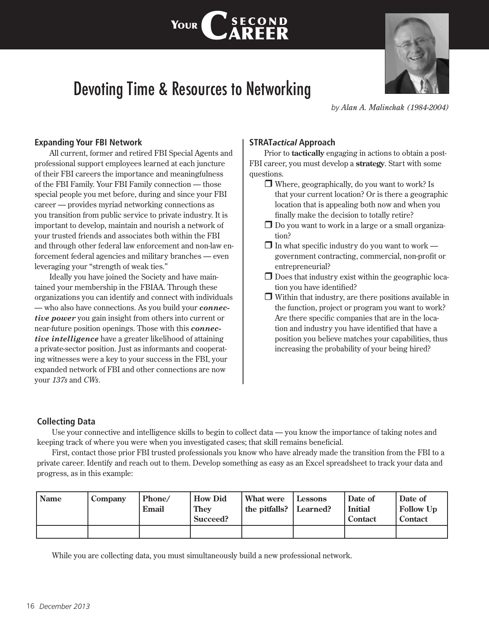# Devoting Time & Resources to Networking

YOUR |

CSECOND<br>CAREER



*by Alan A. Malinchak (1984-2004)*

## **Expanding Your FBI Network**

All current, former and retired FBI Special Agents and professional support employees learned at each juncture of their FBI careers the importance and meaningfulness of the FBI Family. Your FBI Family connection — those special people you met before, during and since your FBI career — provides myriad networking connections as you transition from public service to private industry. It is important to develop, maintain and nourish a network of your trusted friends and associates both within the FBI and through other federal law enforcement and non-law enforcement federal agencies and military branches — even leveraging your "strength of weak ties."

Ideally you have joined the Society and have maintained your membership in the FBIAA. Through these organizations you can identify and connect with individuals — who also have connections. As you build your *connective power* you gain insight from others into current or near-future position openings. Those with this *connective intelligence* have a greater likelihood of attaining a private-sector position. Just as informants and cooperating witnesses were a key to your success in the FBI, your expanded network of FBI and other connections are now your *137s* and *CWs*.

## **STRAT***actical* **Approach**

Prior to **tactically** engaging in actions to obtain a post-FBI career, you must develop a **strategy**. Start with some questions.

- $\Box$  Where, geographically, do you want to work? Is that your current location? Or is there a geographic location that is appealing both now and when you finally make the decision to totally retire?
- $\Box$  Do you want to work in a large or a small organization?
- $\Box$  In what specific industry do you want to work government contracting, commercial, non-profit or entrepreneurial?
- $\Box$  Does that industry exist within the geographic location you have identified?
- $\Box$  Within that industry, are there positions available in the function, project or program you want to work? Are there specific companies that are in the location and industry you have identified that have a position you believe matches your capabilities, thus increasing the probability of your being hired?

#### **Collecting Data**

Use your connective and intelligence skills to begin to collect data — you know the importance of taking notes and keeping track of where you were when you investigated cases; that skill remains beneficial.

First, contact those prior FBI trusted professionals you know who have already made the transition from the FBI to a private career. Identify and reach out to them. Develop something as easy as an Excel spreadsheet to track your data and progress, as in this example:

| <b>Name</b> | Company | Phone/<br>Email | <b>How Did</b><br><b>They</b><br>Succeed? | What were<br>the pitfalls? Learned? | Lessons | Date of<br><b>Initial</b><br>Contact | Date of<br><b>Follow Up</b><br>Contact |
|-------------|---------|-----------------|-------------------------------------------|-------------------------------------|---------|--------------------------------------|----------------------------------------|
|             |         |                 |                                           |                                     |         |                                      |                                        |

While you are collecting data, you must simultaneously build a new professional network.